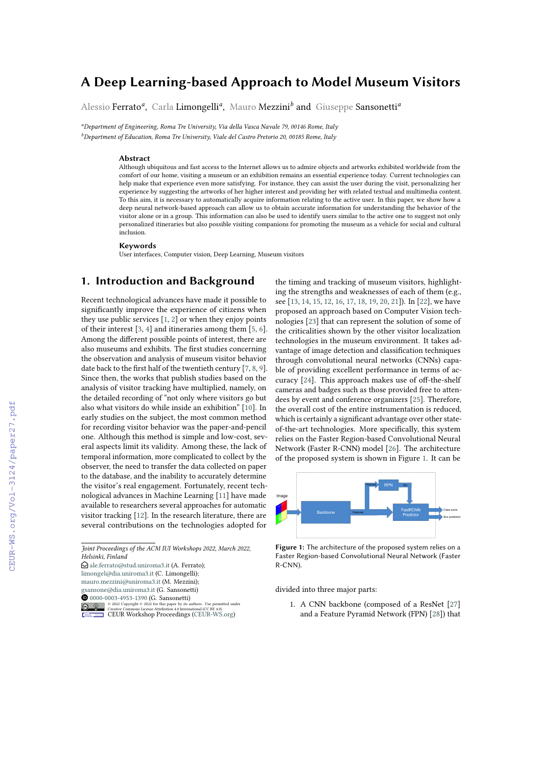# **A Deep Learning-based Approach to Model Museum Visitors**

Alessio Ferrato*<sup>a</sup>* , Carla Limongelli*<sup>a</sup>* , Mauro Mezzini*<sup>b</sup>* and Giuseppe Sansonetti*<sup>a</sup>*

*<sup>a</sup>Department of Engineering, Roma Tre University, Via della Vasca Navale 79, 00146 Rome, Italy*

*<sup>b</sup>Department of Education, Roma Tre University, Viale del Castro Pretorio 20, 00185 Rome, Italy*

#### **Abstract**

Although ubiquitous and fast access to the Internet allows us to admire objects and artworks exhibited worldwide from the comfort of our home, visiting a museum or an exhibition remains an essential experience today. Current technologies can help make that experience even more satisfying. For instance, they can assist the user during the visit, personalizing her experience by suggesting the artworks of her higher interest and providing her with related textual and multimedia content. To this aim, it is necessary to automatically acquire information relating to the active user. In this paper, we show how a deep neural network-based approach can allow us to obtain accurate information for understanding the behavior of the visitor alone or in a group. This information can also be used to identify users similar to the active one to suggest not only personalized itineraries but also possible visiting companions for promoting the museum as a vehicle for social and cultural inclusion.

#### **Keywords**

User interfaces, Computer vision, Deep Learning, Museum visitors

### **1. Introduction and Background**

Recent technological advances have made it possible to significantly improve the experience of citizens when they use public services [\[1,](#page--1-0) [2\]](#page--1-1) or when they enjoy points of their interest [\[3,](#page--1-2) [4\]](#page--1-3) and itineraries among them [\[5,](#page--1-4) [6\]](#page--1-5). Among the different possible points of interest, there are also museums and exhibits. The first studies concerning the observation and analysis of museum visitor behavior date back to the first half of the twentieth century [\[7,](#page--1-6) [8,](#page--1-7) [9\]](#page--1-8). Since then, the works that publish studies based on the analysis of visitor tracking have multiplied, namely, on the detailed recording of "not only where visitors go but also what visitors do while inside an exhibition" [\[10\]](#page--1-9). In early studies on the subject, the most common method for recording visitor behavior was the paper-and-pencil one. Although this method is simple and low-cost, several aspects limit its validity. Among these, the lack of temporal information, more complicated to collect by the observer, the need to transfer the data collected on paper to the database, and the inability to accurately determine the visitor's real engagement. Fortunately, recent technological advances in Machine Learning [\[11\]](#page--1-10) have made available to researchers several approaches for automatic visitor tracking [\[12\]](#page--1-11). In the research literature, there are several contributions on the technologies adopted for

*Joint Proceedings of the ACM IUI Workshops 2022, March 2022, Helsinki, Finland*

 $\bigcirc$  [ale.ferrato@stud.uniroma3.it](mailto:ale.ferrato@stud.uniroma3.it) (A. Ferrato); [limongel@dia.uniroma3.it](mailto:limongel@dia.uniroma3.it) (C. Limongelli);

[mauro.mezzini@uniroma3.it](mailto:mauro.mezzini@uniroma3.it) (M. Mezzini);

[gsansone@dia.uniroma3.it](mailto:gsansone@dia.uniroma3.it) (G. Sansonetti)

**O** [0000-0003-4953-1390](https://orcid.org/0000-0003-4953-1390) (G. Sansonetti)



the timing and tracking of museum visitors, highlighting the strengths and weaknesses of each of them (e.g., see [\[13,](#page--1-12) [14,](#page--1-13) [15,](#page--1-14) [12,](#page--1-11) [16,](#page--1-15) [17,](#page--1-16) [18,](#page--1-17) [19,](#page--1-18) [20,](#page--1-19) [21\]](#page--1-20)). In [\[22\]](#page--1-21), we have proposed an approach based on Computer Vision technologies [\[23\]](#page--1-22) that can represent the solution of some of the criticalities shown by the other visitor localization technologies in the museum environment. It takes advantage of image detection and classification techniques through convolutional neural networks (CNNs) capable of providing excellent performance in terms of accuracy [\[24\]](#page--1-23). This approach makes use of off-the-shelf cameras and badges such as those provided free to attendees by event and conference organizers [\[25\]](#page--1-24). Therefore, the overall cost of the entire instrumentation is reduced, which is certainly a significant advantage over other stateof-the-art technologies. More specifically, this system relies on the Faster Region-based Convolutional Neural Network (Faster R-CNN) model [\[26\]](#page--1-25). The architecture of the proposed system is shown in Figure [1.](#page-0-0) It can be



<span id="page-0-0"></span>**Figure 1:** The architecture of the proposed system relies on a Faster Region-based Convolutional Neural Network (Faster R-CNN).

divided into three major parts:

1. A CNN backbone (composed of a ResNet [\[27\]](#page--1-26) and a Feature Pyramid Network (FPN) [\[28\]](#page--1-27)) that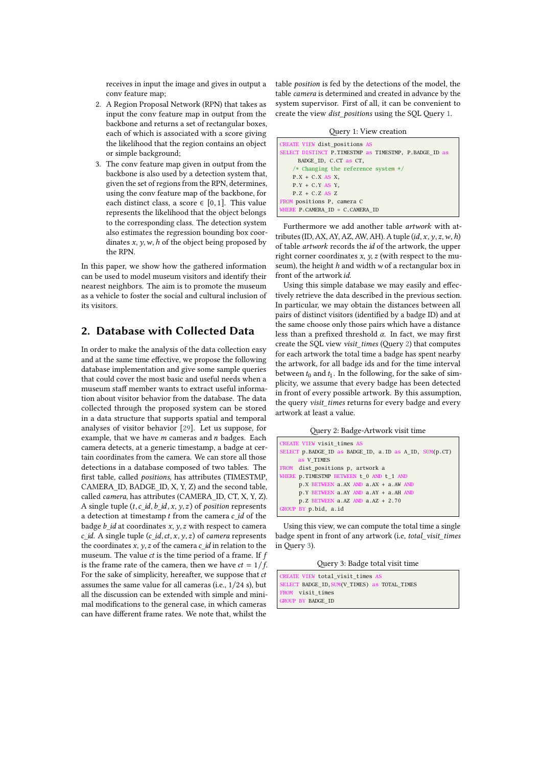receives in input the image and gives in output a conv feature map;

- 2. A Region Proposal Network (RPN) that takes as input the conv feature map in output from the backbone and returns a set of rectangular boxes, each of which is associated with a score giving the likelihood that the region contains an object or simple background;
- 3. The conv feature map given in output from the backbone is also used by a detection system that, given the set of regions from the RPN, determines, using the conv feature map of the backbone, for each distinct class, a score  $\in$  [0, 1]. This value represents the likelihood that the object belongs to the corresponding class. The detection system also estimates the regression bounding box coordinates  $x, y, w, h$  of the object being proposed by the RPN.

In this paper, we show how the gathered information can be used to model museum visitors and identify their nearest neighbors. The aim is to promote the museum as a vehicle to foster the social and cultural inclusion of its visitors.

#### **2. Database with Collected Data**

In order to make the analysis of the data collection easy and at the same time effective, we propose the following database implementation and give some sample queries that could cover the most basic and useful needs when a museum staff member wants to extract useful information about visitor behavior from the database. The data collected through the proposed system can be stored in a data structure that supports spatial and temporal analyses of visitor behavior [\[29\]](#page-4-0). Let us suppose, for example, that we have  $m$  cameras and  $n$  badges. Each camera detects, at a generic timestamp, a badge at certain coordinates from the camera. We can store all those detections in a database composed of two tables. The first table, called *positions*, has attributes (TIMESTMP, CAMERA\_ID, BADGE\_ID, X, Y, Z) and the second table, called *camera*, has attributes (CAMERA\_ID, CT, X, Y, Z). A single tuple  $(t, c_d, b_d, x, y, z)$  of *position* represents a detection at timestamp  $t$  from the camera  $c$ \_id of the badge  $b$  id at coordinates  $x, y, z$  with respect to camera  $c$  *id.* A single tuple ( $c$  *id, ct, x, y, z)* of *camera* represents the coordinates  $x, y, z$  of the camera  $c$ \_id in relation to the museum. The value  $ct$  is the time period of a frame. If  $f$ is the frame rate of the camera, then we have  $ct = 1/f$ . For the sake of simplicity, hereafter, we suppose that ct assumes the same value for all cameras (i.e., 1/24 s), but all the discussion can be extended with simple and minimal modifications to the general case, in which cameras can have different frame rates. We note that, whilst the

table *position* is fed by the detections of the model, the table *camera* is determined and created in advance by the system supervisor. First of all, it can be convenient to create the view *dist\_positions* using the SQL Query [1.](#page-1-0)

Query 1: View creation

<span id="page-1-0"></span>

| CREATE VIEW dist positions AS                           |  |
|---------------------------------------------------------|--|
| SELECT DISTINCT P. TIMESTMP as TIMESTMP, P. BADGE ID as |  |
| BADGE ID, C.CT as CT,                                   |  |
| /* Changing the reference system $*/$                   |  |
| $P.X + C.X AS X$                                        |  |
| $P.Y + C.Y AS Y,$                                       |  |
| $P.Z + C.Z AS Z$                                        |  |
| FROM positions P, camera C                              |  |
| WHERE P.CAMERA ID = C.CAMERA ID                         |  |

Furthermore we add another table *artwork* with attributes (ID, AX, AY, AZ, AW, AH). A tuple  $(id, x, y, z, w, h)$ of table *artwork* records the *id* of the artwork, the upper right corner coordinates  $x$ ,  $y$ ,  $z$  (with respect to the museum), the height  $h$  and width  $w$  of a rectangular box in front of the artwork id.

Using this simple database we may easily and effectively retrieve the data described in the previous section. In particular, we may obtain the distances between all pairs of distinct visitors (identified by a badge ID) and at the same choose only those pairs which have a distance less than a prefixed threshold  $\alpha$ . In fact, we may first create the SQL view *visit\_times* (Query [2\)](#page-1-1) that computes for each artwork the total time a badge has spent nearby the artwork, for all badge ids and for the time interval between  $t_0$  and  $t_1$ . In the following, for the sake of simplicity, we assume that every badge has been detected in front of every possible artwork. By this assumption, the query *visit\_times* returns for every badge and every artwork at least a value.

Query 2: Badge-Artwork visit time

<span id="page-1-1"></span>

| CREATE VIEW visit times AS                               |
|----------------------------------------------------------|
| SELECT p. BADGE ID as BADGE ID, a. ID as A ID, SUM(p.CT) |
| as V TIMES                                               |
| FROM dist positions p, artwork a                         |
| WHERE <b>p. TIMESTMP BETWEEN</b> t 0 AND t 1 AND         |
| p.X BETWEEN a.AX AND a.AX + a.AW AND                     |
| p. Y BETWEEN a AY AND a AY + a AH AND                    |
| $p.Z$ BETWEEN a.AZ AND a.AZ + 2.70                       |
| GROUP BY p.bid, a.id                                     |

Using this view, we can compute the total time a single badge spent in front of any artwork (i.e, *total\_visit\_times* in Query [3\)](#page-1-2).

Query 3: Badge total visit time

```
REATE VIEW total_visit_times
SELECT BADGE_ID,SUM(V_TIMES) as TOTAL_TIMES
    visit_times
ROUP BY BADGE ID
```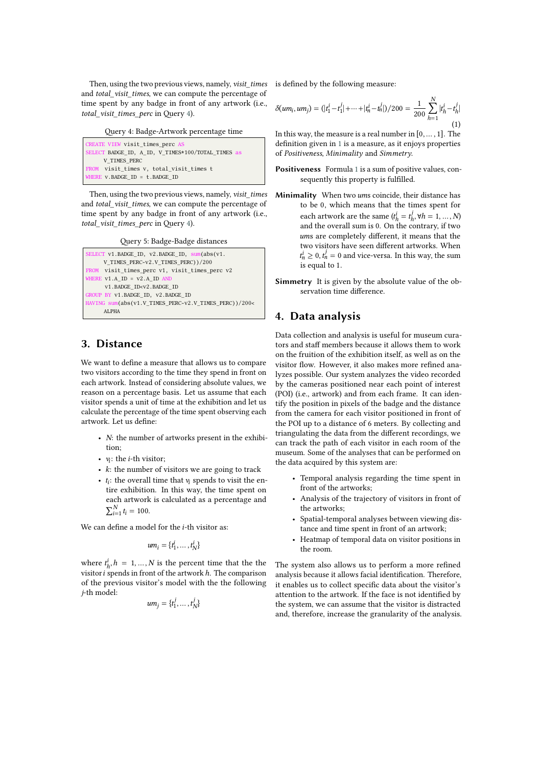Then, using the two previous views, namely, *visit\_times* and *total\_visit\_times*, we can compute the percentage of time spent by any badge in front of any artwork (i.e., *total\_visit\_times\_perc* in Query [4\)](#page-2-0).

Query 4: Badge-Artwork percentage time

<span id="page-2-0"></span>

| CREATE VIEW visit times perc AS                   |  |
|---------------------------------------------------|--|
| SELECT BADGE ID, A ID, V TIMES*100/TOTAL TIMES as |  |
| V TIMES PERC                                      |  |
| FROM visit times v, total visit times t           |  |
| WHERE $V$ BADGE ID = $t$ BADGE ID                 |  |

Then, using the two previous views, namely, *visit\_times* and *total\_visit\_times*, we can compute the percentage of time spent by any badge in front of any artwork (i.e., *total\_visit\_times\_perc* in Query [4\)](#page-2-0).

Query 5: Badge-Badge distances

```
ELECT v1.BADGE_ID, v2.BADGE_ID, sum(abs(v1.
     V_TIMES_PERC-v2.V_TIMES_PERC))/200
     visit_times_perc v1, visit_times_perc v2
WHERE v1.A_\text{ID} = v2.A_\text{ID} AN
      v1.BADGE_ID<v2.BADGE_ID
GROUP BY v1.BADGE_ID, v2.BADGE_ID
HAVING sum(abs(v1.V_TIMES_PERC-v2.V_TIMES_PERC))/200<
     ALPHA
```
### **3. Distance**

We want to define a measure that allows us to compare two visitors according to the time they spend in front on each artwork. Instead of considering absolute values, we reason on a percentage basis. Let us assume that each visitor spends a unit of time at the exhibition and let us calculate the percentage of the time spent observing each artwork. Let us define:

- $N$ : the number of artworks present in the exhibition;
- $v_i$ : the *i*-th visitor;
- $\cdot$  k: the number of visitors we are going to track
- $t_i$ : the overall time that  $v_i$  spends to visit the entire exhibition. In this way, the time spent on each artwork is calculated as a percentage and  $\sum_{i=1}^{N} t_i = 100.$

We can define a model for the  $i$ -th visitor as:

$$
um_i = \{t_1^i, \dots, t_N^i\}
$$

where  $t^i_h$ ,  $h = 1, ..., N$  is the percent time that the the visitor  $i$  spends in front of the artwork  $h$ . The comparison of the previous visitor's model with the the following *j*-th model:

$$
um_j = \{t_1^j, \dots, t_N^j\}
$$

is defined by the following measure:

<span id="page-2-1"></span> $\delta(um_i, um_j) = (|t_1^i - t_1^j| + \dots + |t_n^i - t_n^j|)/200 = \frac{1}{200}$ N ∑  $h=1$  $|t_h^i-t_h^j|$  $(1)$ 

In this way, the measure is a real number in  $[0, \ldots, 1]$ . The definition given in [1](#page-2-1) is a measure, as it enjoys properties of *Positiveness*, *Minimality* and *Simmetry*.

- **Positiveness** Formula [1](#page-2-1) is a sum of positive values, consequently this property is fulfilled.
- Minimality When two ums coincide, their distance has to be 0, which means that the times spent for each artwork are the same  $(t_h^i = t_h^j, \forall h = 1, ..., N)$ and the overall sum is 0. On the contrary, if two ums are completely different, it means that the two visitors have seen different artworks. When  $t_n^i \geq 0$ ,  $t_n^j = 0$  and vice-versa. In this way, the sum is equal to 1.
- **Simmetry** It is given by the absolute value of the observation time difference.

#### **4. Data analysis**

Data collection and analysis is useful for museum curators and staff members because it allows them to work on the fruition of the exhibition itself, as well as on the visitor flow. However, it also makes more refined analyzes possible. Our system analyzes the video recorded by the cameras positioned near each point of interest (POI) (i.e., artwork) and from each frame. It can identify the position in pixels of the badge and the distance from the camera for each visitor positioned in front of the POI up to a distance of 6 meters. By collecting and triangulating the data from the different recordings, we can track the path of each visitor in each room of the museum. Some of the analyses that can be performed on the data acquired by this system are:

- Temporal analysis regarding the time spent in front of the artworks;
- Analysis of the trajectory of visitors in front of the artworks;
- Spatial-temporal analyses between viewing distance and time spent in front of an artwork;
- Heatmap of temporal data on visitor positions in the room.

The system also allows us to perform a more refined analysis because it allows facial identification. Therefore, it enables us to collect specific data about the visitor's attention to the artwork. If the face is not identified by the system, we can assume that the visitor is distracted and, therefore, increase the granularity of the analysis.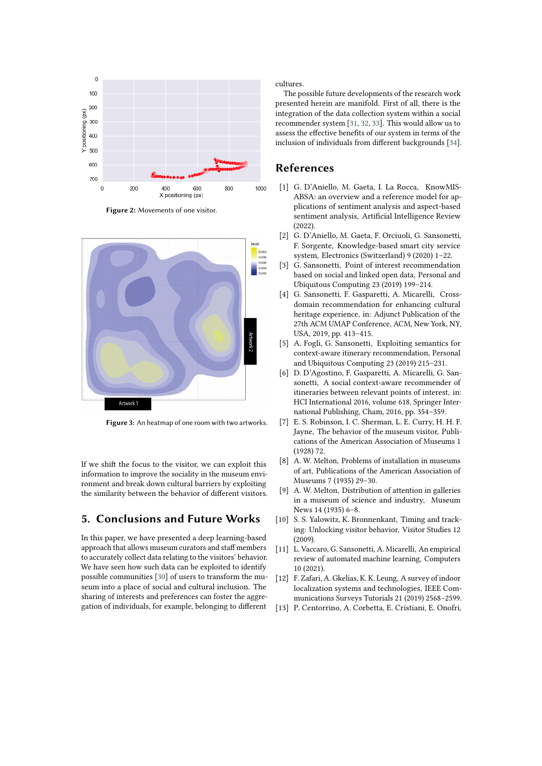

**Figure 2:** Movements of one visitor.



**Figure 3:** An heatmap of one room with two artworks.

If we shift the focus to the visitor, we can exploit this information to improve the sociality in the museum environment and break down cultural barriers by exploiting the similarity between the behavior of different visitors.

## **5. Conclusions and Future Works**

In this paper, we have presented a deep learning-based approach that allows museum curators and staff members to accurately collect data relating to the visitors' behavior. We have seen how such data can be exploited to identify possible communities [\[30\]](#page-4-1) of users to transform the museum into a place of social and cultural inclusion. The sharing of interests and preferences can foster the aggregation of individuals, for example, belonging to different cultures.

The possible future developments of the research work presented herein are manifold. First of all, there is the integration of the data collection system within a social recommender system [\[31,](#page-4-2) [32,](#page-4-3) [33\]](#page-4-4). This would allow us to assess the effective benefits of our system in terms of the inclusion of individuals from different backgrounds [\[34\]](#page-4-5).

#### **References**

- [1] G. D'Aniello, M. Gaeta, I. La Rocca, KnowMIS-ABSA: an overview and a reference model for applications of sentiment analysis and aspect-based sentiment analysis, Artificial Intelligence Review (2022).
- [2] G. D'Aniello, M. Gaeta, F. Orciuoli, G. Sansonetti, F. Sorgente, Knowledge-based smart city service system, Electronics (Switzerland) 9 (2020) 1–22.
- [3] G. Sansonetti, Point of interest recommendation based on social and linked open data, Personal and Ubiquitous Computing 23 (2019) 199–214.
- [4] G. Sansonetti, F. Gasparetti, A. Micarelli, Crossdomain recommendation for enhancing cultural heritage experience, in: Adjunct Publication of the 27th ACM UMAP Conference, ACM, New York, NY, USA, 2019, pp. 413–415.
- [5] A. Fogli, G. Sansonetti, Exploiting semantics for context-aware itinerary recommendation, Personal and Ubiquitous Computing 23 (2019) 215–231.
- [6] D. D'Agostino, F. Gasparetti, A. Micarelli, G. Sansonetti, A social context-aware recommender of itineraries between relevant points of interest, in: HCI International 2016, volume 618, Springer International Publishing, Cham, 2016, pp. 354–359.
- [7] E. S. Robinson, I. C. Sherman, L. E. Curry, H. H. F. Jayne, The behavior of the museum visitor, Publications of the American Association of Museums 1 (1928) 72.
- [8] A. W. Melton, Problems of installation in museums of art, Publications of the American Association of Museums 7 (1935) 29–30.
- [9] A. W. Melton, Distribution of attention in galleries in a museum of science and industry, Museum News 14 (1935) 6–8.
- [10] S. S. Yalowitz, K. Bronnenkant, Timing and tracking: Unlocking visitor behavior, Visitor Studies 12 (2009).
- [11] L. Vaccaro, G. Sansonetti, A. Micarelli, An empirical review of automated machine learning, Computers 10 (2021).
- [12] F. Zafari, A. Gkelias, K. K. Leung, A survey of indoor localization systems and technologies, IEEE Communications Surveys Tutorials 21 (2019) 2568–2599.
- [13] P. Centorrino, A. Corbetta, E. Cristiani, E. Onofri,